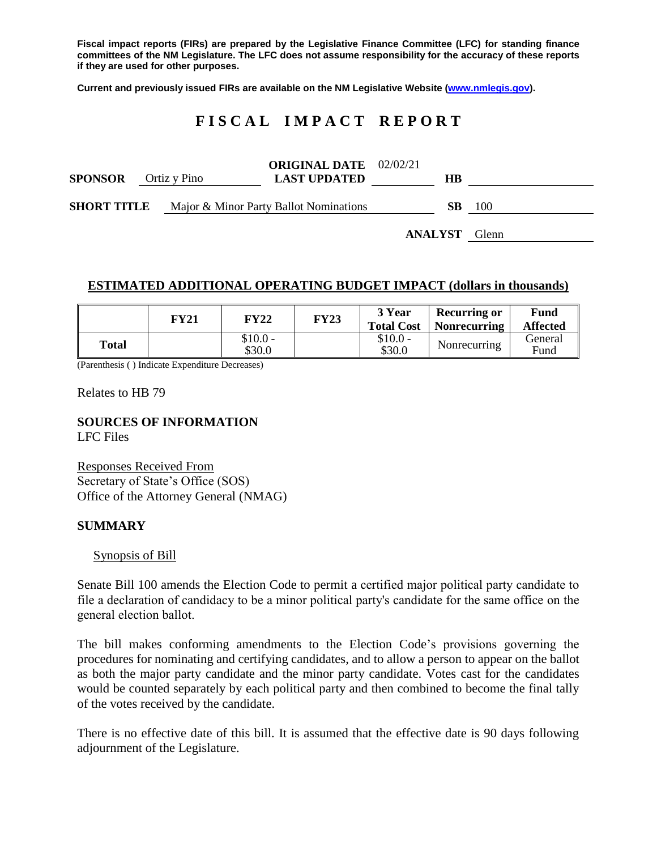**Fiscal impact reports (FIRs) are prepared by the Legislative Finance Committee (LFC) for standing finance committees of the NM Legislature. The LFC does not assume responsibility for the accuracy of these reports if they are used for other purposes.**

**Current and previously issued FIRs are available on the NM Legislative Website [\(www.nmlegis.gov\)](http://www.nmlegis.gov/).**

# **F I S C A L I M P A C T R E P O R T**

| <b>SPONSOR</b><br>Ortiz y Pino |  | <b>ORIGINAL DATE</b> 02/02/21<br><b>LAST UPDATED</b> |                | HВ |       |
|--------------------------------|--|------------------------------------------------------|----------------|----|-------|
| <b>SHORT TITLE</b>             |  | Major & Minor Party Ballot Nominations               |                | SВ | 100   |
|                                |  |                                                      | <b>ANALYST</b> |    | Glenn |

#### **ESTIMATED ADDITIONAL OPERATING BUDGET IMPACT (dollars in thousands)**

|       | FY21 | FY22                | <b>FY23</b> | 3 Year<br><b>Total Cost</b> | <b>Recurring or</b><br><b>Nonrecurring</b> | Fund<br><b>Affected</b> |
|-------|------|---------------------|-------------|-----------------------------|--------------------------------------------|-------------------------|
| Total |      | $$10.0 -$<br>\$30.0 |             | $$10.0 -$<br>\$30.0         | Nonrecurring                               | General<br>Fund         |

(Parenthesis ( ) Indicate Expenditure Decreases)

Relates to HB 79

**SOURCES OF INFORMATION** LFC Files

Responses Received From Secretary of State's Office (SOS) Office of the Attorney General (NMAG)

### **SUMMARY**

Synopsis of Bill

Senate Bill 100 amends the Election Code to permit a certified major political party candidate to file a declaration of candidacy to be a minor political party's candidate for the same office on the general election ballot.

The bill makes conforming amendments to the Election Code's provisions governing the procedures for nominating and certifying candidates, and to allow a person to appear on the ballot as both the major party candidate and the minor party candidate. Votes cast for the candidates would be counted separately by each political party and then combined to become the final tally of the votes received by the candidate.

There is no effective date of this bill. It is assumed that the effective date is 90 days following adjournment of the Legislature.